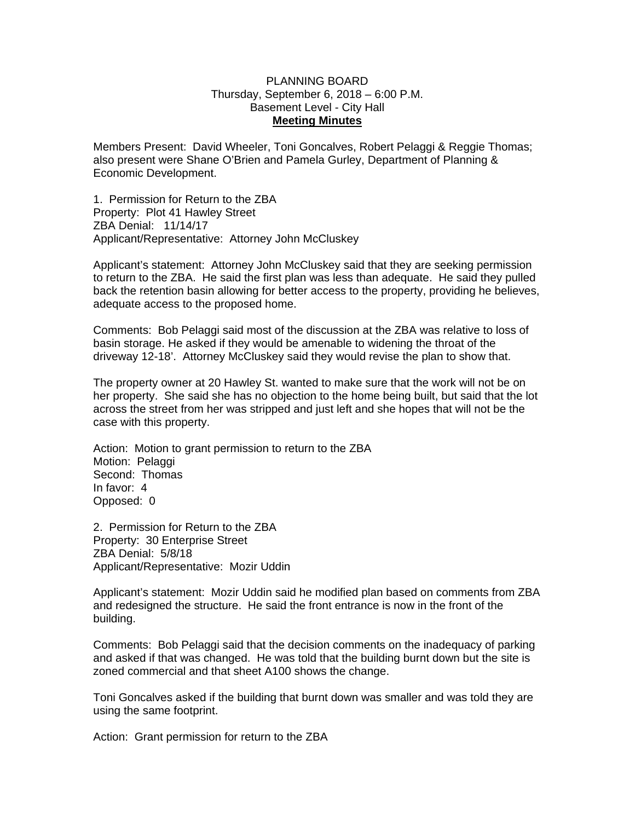## PLANNING BOARD Thursday, September 6, 2018 – 6:00 P.M. Basement Level - City Hall **Meeting Minutes**

Members Present: David Wheeler, Toni Goncalves, Robert Pelaggi & Reggie Thomas; also present were Shane O'Brien and Pamela Gurley, Department of Planning & Economic Development.

1. Permission for Return to the ZBA Property: Plot 41 Hawley Street ZBA Denial: 11/14/17 Applicant/Representative: Attorney John McCluskey

Applicant's statement: Attorney John McCluskey said that they are seeking permission to return to the ZBA. He said the first plan was less than adequate. He said they pulled back the retention basin allowing for better access to the property, providing he believes, adequate access to the proposed home.

Comments: Bob Pelaggi said most of the discussion at the ZBA was relative to loss of basin storage. He asked if they would be amenable to widening the throat of the driveway 12-18'. Attorney McCluskey said they would revise the plan to show that.

The property owner at 20 Hawley St. wanted to make sure that the work will not be on her property. She said she has no objection to the home being built, but said that the lot across the street from her was stripped and just left and she hopes that will not be the case with this property.

Action: Motion to grant permission to return to the ZBA Motion: Pelaggi Second: Thomas In favor: 4 Opposed: 0

2. Permission for Return to the ZBA Property: 30 Enterprise Street ZBA Denial: 5/8/18 Applicant/Representative: Mozir Uddin

Applicant's statement: Mozir Uddin said he modified plan based on comments from ZBA and redesigned the structure. He said the front entrance is now in the front of the building.

Comments: Bob Pelaggi said that the decision comments on the inadequacy of parking and asked if that was changed. He was told that the building burnt down but the site is zoned commercial and that sheet A100 shows the change.

Toni Goncalves asked if the building that burnt down was smaller and was told they are using the same footprint.

Action: Grant permission for return to the ZBA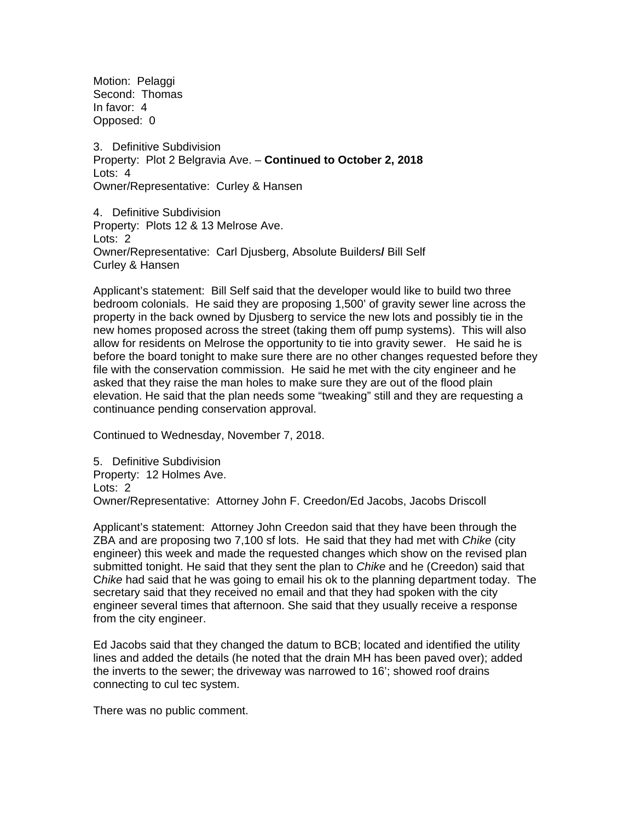Motion: Pelaggi Second: Thomas In favor: 4 Opposed: 0

3. Definitive Subdivision Property: Plot 2 Belgravia Ave. – **Continued to October 2, 2018**  Lots: 4 Owner/Representative:Curley & Hansen

4. Definitive Subdivision Property: Plots 12 & 13 Melrose Ave. Lots: 2 Owner/Representative:Carl Djusberg, Absolute Builders**/** Bill Self Curley & Hansen

Applicant's statement: Bill Self said that the developer would like to build two three bedroom colonials. He said they are proposing 1,500' of gravity sewer line across the property in the back owned by Djusberg to service the new lots and possibly tie in the new homes proposed across the street (taking them off pump systems). This will also allow for residents on Melrose the opportunity to tie into gravity sewer. He said he is before the board tonight to make sure there are no other changes requested before they file with the conservation commission. He said he met with the city engineer and he asked that they raise the man holes to make sure they are out of the flood plain elevation. He said that the plan needs some "tweaking" still and they are requesting a continuance pending conservation approval.

Continued to Wednesday, November 7, 2018.

5. Definitive Subdivision Property: 12 Holmes Ave. Lots: 2 Owner/Representative:Attorney John F. Creedon/Ed Jacobs, Jacobs Driscoll

Applicant's statement: Attorney John Creedon said that they have been through the ZBA and are proposing two 7,100 sf lots. He said that they had met with *Chike* (city engineer) this week and made the requested changes which show on the revised plan submitted tonight. He said that they sent the plan to *Chike* and he (Creedon) said that C*hike* had said that he was going to email his ok to the planning department today. The secretary said that they received no email and that they had spoken with the city engineer several times that afternoon. She said that they usually receive a response from the city engineer.

Ed Jacobs said that they changed the datum to BCB; located and identified the utility lines and added the details (he noted that the drain MH has been paved over); added the inverts to the sewer; the driveway was narrowed to 16'; showed roof drains connecting to cul tec system.

There was no public comment.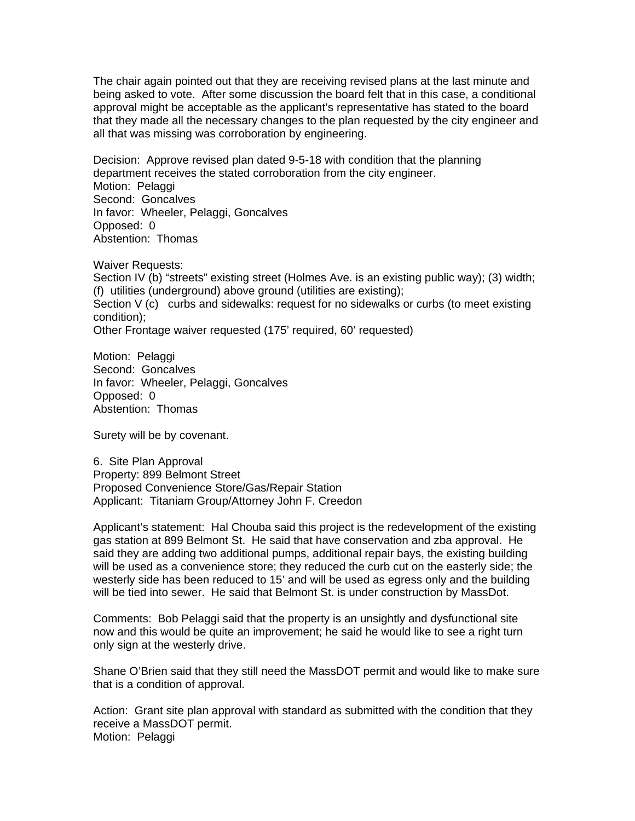The chair again pointed out that they are receiving revised plans at the last minute and being asked to vote. After some discussion the board felt that in this case, a conditional approval might be acceptable as the applicant's representative has stated to the board that they made all the necessary changes to the plan requested by the city engineer and all that was missing was corroboration by engineering.

Decision: Approve revised plan dated 9-5-18 with condition that the planning department receives the stated corroboration from the city engineer. Motion: Pelaggi Second: Goncalves In favor: Wheeler, Pelaggi, Goncalves Opposed: 0 Abstention: Thomas

Waiver Requests: Section IV (b) "streets" existing street (Holmes Ave. is an existing public way); (3) width; (f) utilities (underground) above ground (utilities are existing); Section V (c) curbs and sidewalks: request for no sidewalks or curbs (to meet existing condition); Other Frontage waiver requested (175' required, 60' requested)

Motion: Pelaggi Second: Goncalves In favor: Wheeler, Pelaggi, Goncalves Opposed: 0 Abstention: Thomas

Surety will be by covenant.

6. Site Plan Approval Property: 899 Belmont Street Proposed Convenience Store/Gas/Repair Station Applicant: Titaniam Group/Attorney John F. Creedon

Applicant's statement: Hal Chouba said this project is the redevelopment of the existing gas station at 899 Belmont St. He said that have conservation and zba approval. He said they are adding two additional pumps, additional repair bays, the existing building will be used as a convenience store; they reduced the curb cut on the easterly side; the westerly side has been reduced to 15' and will be used as egress only and the building will be tied into sewer. He said that Belmont St. is under construction by MassDot.

Comments: Bob Pelaggi said that the property is an unsightly and dysfunctional site now and this would be quite an improvement; he said he would like to see a right turn only sign at the westerly drive.

Shane O'Brien said that they still need the MassDOT permit and would like to make sure that is a condition of approval.

Action: Grant site plan approval with standard as submitted with the condition that they receive a MassDOT permit. Motion: Pelaggi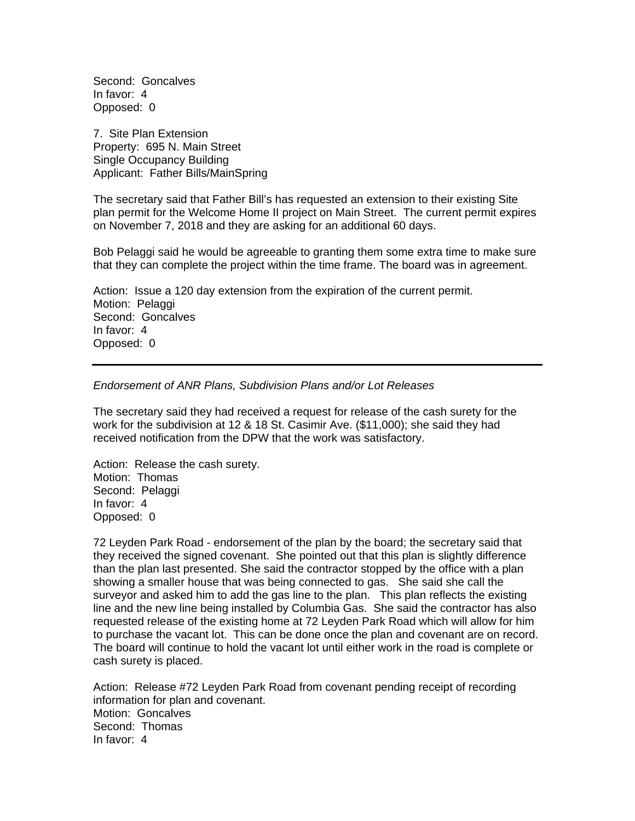Second: Goncalves In favor: 4 Opposed: 0

7. Site Plan Extension Property: 695 N. Main Street Single Occupancy Building Applicant: Father Bills/MainSpring

The secretary said that Father Bill's has requested an extension to their existing Site plan permit for the Welcome Home II project on Main Street. The current permit expires on November 7, 2018 and they are asking for an additional 60 days.

Bob Pelaggi said he would be agreeable to granting them some extra time to make sure that they can complete the project within the time frame. The board was in agreement.

Action: Issue a 120 day extension from the expiration of the current permit. Motion: Pelaggi Second: Goncalves In favor: 4 Opposed: 0

## *Endorsement of ANR Plans, Subdivision Plans and/or Lot Releases*

The secretary said they had received a request for release of the cash surety for the work for the subdivision at 12 & 18 St. Casimir Ave. (\$11,000); she said they had received notification from the DPW that the work was satisfactory.

Action: Release the cash surety. Motion: Thomas Second: Pelaggi In favor: 4 Opposed: 0

72 Leyden Park Road - endorsement of the plan by the board; the secretary said that they received the signed covenant. She pointed out that this plan is slightly difference than the plan last presented. She said the contractor stopped by the office with a plan showing a smaller house that was being connected to gas. She said she call the surveyor and asked him to add the gas line to the plan. This plan reflects the existing line and the new line being installed by Columbia Gas. She said the contractor has also requested release of the existing home at 72 Leyden Park Road which will allow for him to purchase the vacant lot. This can be done once the plan and covenant are on record. The board will continue to hold the vacant lot until either work in the road is complete or cash surety is placed.

Action: Release #72 Leyden Park Road from covenant pending receipt of recording information for plan and covenant. Motion: Goncalves Second: Thomas In favor: 4